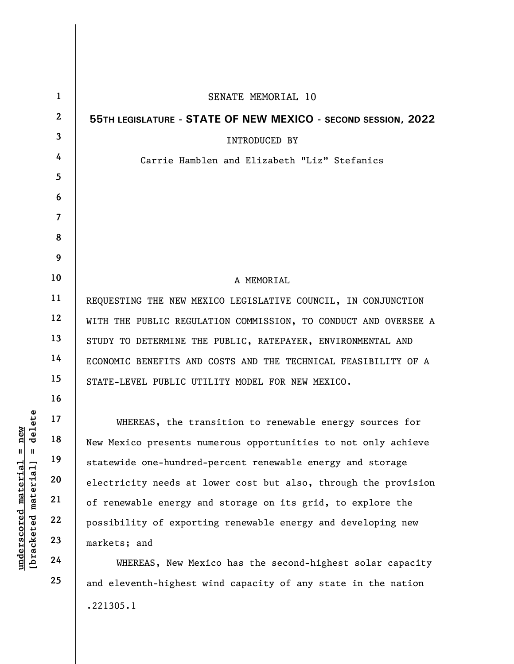| delete<br>new<br>Ш<br>Ш<br>$\mathop{\mathtt{materidal}}$<br>[bracketed material<br>$\bm{{\rm underscore}}$ | $\mathbf{1}$            | SENATE MEMORIAL 10                                              |
|------------------------------------------------------------------------------------------------------------|-------------------------|-----------------------------------------------------------------|
|                                                                                                            | $\mathbf{2}$            | 55TH LEGISLATURE - STATE OF NEW MEXICO - SECOND SESSION, 2022   |
|                                                                                                            | $\overline{\mathbf{3}}$ | <b>INTRODUCED BY</b>                                            |
|                                                                                                            | 4                       | Carrie Hamblen and Elizabeth "Liz" Stefanics                    |
|                                                                                                            | 5                       |                                                                 |
|                                                                                                            | 6                       |                                                                 |
|                                                                                                            | $\overline{7}$          |                                                                 |
|                                                                                                            | 8                       |                                                                 |
|                                                                                                            | 9                       |                                                                 |
|                                                                                                            | 10                      | A MEMORIAL                                                      |
|                                                                                                            | 11                      | REQUESTING THE NEW MEXICO LEGISLATIVE COUNCIL, IN CONJUNCTION   |
|                                                                                                            | 12                      | WITH THE PUBLIC REGULATION COMMISSION, TO CONDUCT AND OVERSEE A |
|                                                                                                            | 13                      | STUDY TO DETERMINE THE PUBLIC, RATEPAYER, ENVIRONMENTAL AND     |
|                                                                                                            | 14                      | ECONOMIC BENEFITS AND COSTS AND THE TECHNICAL FEASIBILITY OF A  |
|                                                                                                            | 15                      | STATE-LEVEL PUBLIC UTILITY MODEL FOR NEW MEXICO.                |
|                                                                                                            | 16                      |                                                                 |
|                                                                                                            | 17                      | WHEREAS, the transition to renewable energy sources for         |
|                                                                                                            | 18                      | New Mexico presents numerous opportunities to not only achieve  |
|                                                                                                            | 19                      | statewide one-hundred-percent renewable energy and storage      |
|                                                                                                            | 20                      | electricity needs at lower cost but also, through the provision |
|                                                                                                            | 21                      | of renewable energy and storage on its grid, to explore the     |
|                                                                                                            | 22                      | possibility of exporting renewable energy and developing new    |
|                                                                                                            | 23                      | markets; and                                                    |
|                                                                                                            | 24                      | WHEREAS, New Mexico has the second-highest solar capacity       |
|                                                                                                            | 25                      | and eleventh-highest wind capacity of any state in the nation   |

.221305.1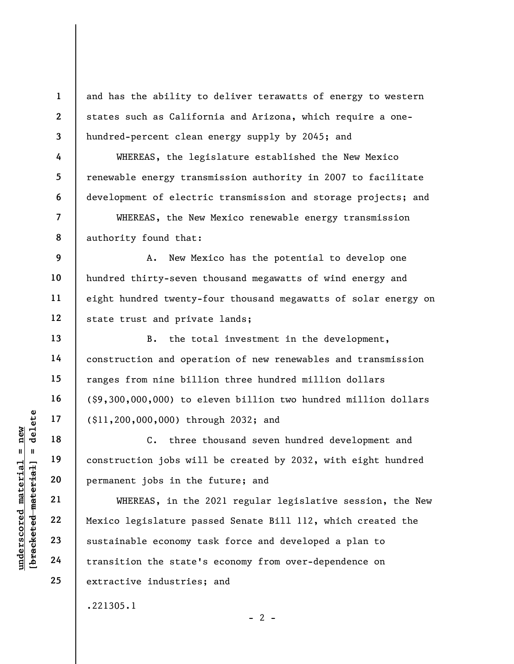and has the ability to deliver terawatts of energy to western states such as California and Arizona, which require a onehundred-percent clean energy supply by 2045; and

WHEREAS, the legislature established the New Mexico renewable energy transmission authority in 2007 to facilitate development of electric transmission and storage projects; and

WHEREAS, the New Mexico renewable energy transmission authority found that:

9 10 11 12 A. New Mexico has the potential to develop one hundred thirty-seven thousand megawatts of wind energy and eight hundred twenty-four thousand megawatts of solar energy on state trust and private lands;

B. the total investment in the development, construction and operation of new renewables and transmission ranges from nine billion three hundred million dollars (\$9,300,000,000) to eleven billion two hundred million dollars (\$11,200,000,000) through 2032; and

C. three thousand seven hundred development and construction jobs will be created by 2032, with eight hundred permanent jobs in the future; and

underscored material = new [bracketed material] = delete WHEREAS, in the 2021 regular legislative session, the New Mexico legislature passed Senate Bill 112, which created the sustainable economy task force and developed a plan to transition the state's economy from over-dependence on extractive industries; and

.221305.1

1

2

3

4

5

6

7

8

13

14

15

16

17

18

19

20

21

22

23

24

25

 $- 2 -$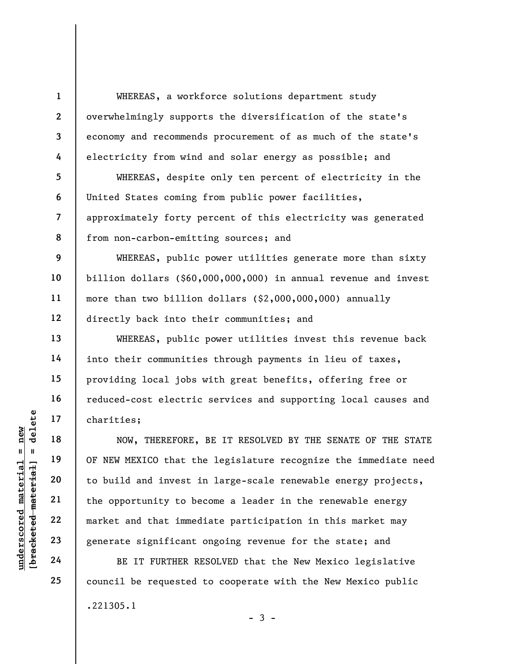WHEREAS, a workforce solutions department study overwhelmingly supports the diversification of the state's economy and recommends procurement of as much of the state's electricity from wind and solar energy as possible; and

WHEREAS, despite only ten percent of electricity in the United States coming from public power facilities, approximately forty percent of this electricity was generated from non-carbon-emitting sources; and

WHEREAS, public power utilities generate more than sixty billion dollars (\$60,000,000,000) in annual revenue and invest more than two billion dollars (\$2,000,000,000) annually directly back into their communities; and

WHEREAS, public power utilities invest this revenue back into their communities through payments in lieu of taxes, providing local jobs with great benefits, offering free or reduced-cost electric services and supporting local causes and charities;

UNDERETORE,<br>
UNDERETORE,<br>
UNDERETORE,<br>
UNDERETORE,<br>
UNDERETORE,<br>
UNDERETORE,<br>
UNDERETORE,<br>
UNDER MEXICO that the<br>
UNDER 21<br>
UNDER 22<br>
UNDER 22<br>
UNDER 22<br>
UNDER 22<br>
UNDER 22<br>
UNDER 22<br>
UNDER 24<br>
UNDER 24<br>
UNDER 24<br>
UNDER 24 NOW, THEREFORE, BE IT RESOLVED BY THE SENATE OF THE STATE OF NEW MEXICO that the legislature recognize the immediate need to build and invest in large-scale renewable energy projects, the opportunity to become a leader in the renewable energy market and that immediate participation in this market may generate significant ongoing revenue for the state; and

BE IT FURTHER RESOLVED that the New Mexico legislative council be requested to cooperate with the New Mexico public .221305.1  $-3 -$ 

1

2

3

4

5

6

7

8

9

10

11

12

13

14

15

16

17

18

19

20

21

22

23

24

25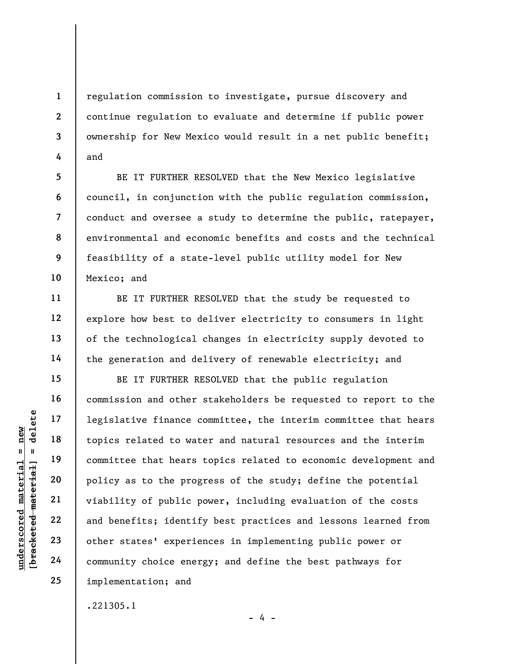regulation commission to investigate, pursue discovery and continue regulation to evaluate and determine if public power ownership for New Mexico would result in a net public benefit; and

BE IT FURTHER RESOLVED that the New Mexico legislative council, in conjunction with the public regulation commission, conduct and oversee a study to determine the public, ratepayer, environmental and economic benefits and costs and the technical feasibility of a state-level public utility model for New Mexico; and

BE IT FURTHER RESOLVED that the study be requested to explore how best to deliver electricity to consumers in light of the technological changes in electricity supply devoted to the generation and delivery of renewable electricity; and

UNDER 17 1 1 20<br>
UNDER 19 18<br>
UNDER 19 19<br>
UNDER 19 20<br>
UNDER 19 22<br>
UNDER 19 22<br>
UNDER 19 22<br>
UNDER 19 22<br>
UNDER 19 22<br>
UNDER 19 22<br>
UNDER 19 22<br>
UNDER 19 22<br>
UNDER 19 24<br>
OTHER 19 24<br>
OTHER 19 24<br>
OTHER 19 24<br>
OTHER 19 2 BE IT FURTHER RESOLVED that the public regulation commission and other stakeholders be requested to report to the legislative finance committee, the interim committee that hears topics related to water and natural resources and the interim committee that hears topics related to economic development and policy as to the progress of the study; define the potential viability of public power, including evaluation of the costs and benefits; identify best practices and lessons learned from other states' experiences in implementing public power or community choice energy; and define the best pathways for implementation; and

.221305.1

1

2

3

4

5

6

7

8

9

10

11

12

13

14

15

16

17

18

19

20

21

22

23

24

25

 $- 4 -$